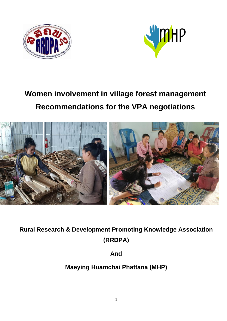



# **Women involvement in village forest management Recommendations for the VPA negotiations**



**Rural Research & Development Promoting Knowledge Association (RRDPA)**

**And**

**Maeying Huamchai Phattana (MHP)**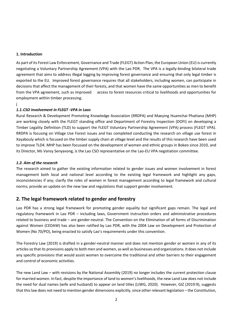#### **1. Introduction**

As part of its Forest Law Enforcement, Governance and Trade (FLEGT) Action Plan, the European Union (EU) is currently negotiating a Voluntary Partnership Agreement (VPA) with the Lao PDR. The VPA is a legally-binding bilateral trade agreement that aims to address illegal logging by improving forest governance and ensuring that only legal timber is exported to the EU. Improved forest governance requires that all stakeholders, including women, can participate in decisions that affect the management of their forests, and that women have the same opportunities as men to benefit from the VPA agreement, such as improved access to forest resources critical to livelihoods and opportunities for employment within timber processing.

j

#### *1.1.CSO involvement in FLEGT -VPA in Laos*

Rural Research & Development Promoting Knowledge Association (RRDPA) and Maeying Huamchai Phattana (MHP) are working closely with the FLEGT standing office and Department of Forestry Inspection (DOFI) on developing a Timber Legality Definition (TLD) to support the FLEGT Voluntary Partnership Agreement (VPA) process (FLEGT VPA). RRDPA is focusing on Village Use Forest issues and has completed conducting the research on village use forest in Xayabouly which is focused on the timber supply chain at village level and the results of this research have been used to improve TLD4. MHP has been focussed on the development of women and ethnic groups in Bokeo since 2010, and its Director, Ms Vansy Senyavong, is the Lao CSO representative on the Lao-EU VPA negotiation committee.

#### *1.2. Aim of the research*

The research aimed to gather the existing information related to gender issues and women involvement in forest management both local and national level according to the existing legal framework and highlight any gaps, inconsistencies if any; clarify the roles of women in forest management according to legal framework and cultural norms; provide an update on the new law and regulations that support gender involvement.

### **2. The legal framework related to gender and forestry**

Lao PDR has a strong legal framework for promoting gender equality but significant gaps remain. The legal and regulatory framework in Lao PDR – including laws, Government instruction orders and administrative procedures related to business and trade – are gender-neutral. The Convention on the Elimination of all forms of Discrimination against Women (CEDAW) has also been ratified by Lao PDR, with the 2004 Law on Development and Protection of Women (No 70/PO), being enacted to satisfy Lao's requirements under this convention.

The Forestry Law (2019) is drafted in a gender-neutral manner and does not mention gender or women in any of its articles so that its provisions apply to both men and women, as well as businesses and organizations. It does not include any specific provisions that would assist women to overcome the traditional and other barriers to their engagement and control of economic activities.

The new Land Law – with revisions by the National Assembly (2019) no longer includes the current protection clause for married women. In fact, despite the importance of land to women's livelihoods, the new Land Law does not include the need for dual names (wife and husband) to appear on land titles (LIWG, 2020). However, GIZ (2019:9), suggests that this law does not need to mention gender dimensions explicitly, since other relevant legislation – the Constitution,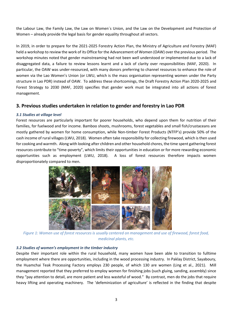the Labour Law, the Family Law, the Law on Women´s Union, and the Law on the Development and Protection of Women – already provide the legal basis for gender equality throughout all sectors.

In 2019, in order to prepare for the 2021-2025 Forestry Action Plan, the Ministry of Agriculture and Forestry (MAF) held a workshop to review the work of its Office for the Advancement of Women (OAW) over the previous period. The workshop minutes noted that gender mainstreaming had not been well understood or implemented due to a lack of disaggregated data, a failure to review lessons learnt and a lack of clarity over responsibilities (MAF, 2020). In particular, the OAW was under-resourced, with many donors preferring to channel resources to enhance the role of women via the Lao Women's Union (or LWU, which is the mass organisation representing women under the Party structure in Lao PDR) instead of OAW. To address these shortcomings, the Draft Forestry Action Plan 2020-2025 and Forest Strategy to 2030 (MAF, 2020) specifies that gender work must be integrated into all actions of forest management.

## **3. Previous studies undertaken in relation to gender and forestry in Lao PDR**

#### *3.1 Studies at village level*

Forest resources are particularly important for poorer households, who depend upon them for nutrition of their families, for fuelwood and for income. Bamboo shoots, mushrooms, forest vegetables and small fish/crustaceans are mostly gathered by women for home consumption, while Non-timber Forest Products (NTFP's) provide 50% of the cash income of rural villages (LWU, 2018). Women often take responsibility for collecting firewood, which is then used for cooking and warmth. Along with looking after children and other household chores, the time spent gathering forest resources contribute to "time-poverty", which limits their opportunities in education or for more rewarding economic opportunities such as employment (LWU, 2018). A loss of forest resources therefore impacts women disproportionately compared to men.



*Figure 1: Women use of forest resources is usually centered on management and use of firewood, forest food, medicinal plants, etc.*

#### *3.2 Studies of women's employment in the timber industry*

Despite their important role within the rural household, many women have been able to transition to fulltime employment where there are opportunities, including in the wood processing industry. In Paklay District, Sayaboury, the Huamchai Teak Processing Factory employs 230 people, of which 130 are women (Ling et al., 2021). Mill management reported that they preferred to employ women for finishing jobs (such gluing, sanding, assembly) since they "pay attention to detail, are more patient and less wasteful of wood." By contrast, men do the jobs that require heavy lifting and operating machinery. The 'defeminization of agriculture' is reflected in the finding that despite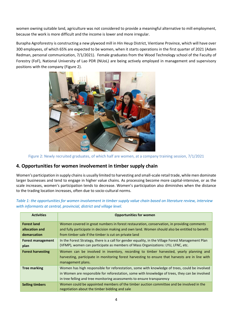women owning suitable land, agriculture was not considered to provide a meaningful alternative to mill employment, because the work is more difficult and the income is lower and more irregular.

Burapha Agroforestry is constructing a new plywood mill in Hin Heup District, Vientiane Province, which will have over 300 employees, of which 65% are expected to be women, when it starts operations in the first quarter of 2021 (Adam Redman, personal communication, 7/1/2021). Female graduates from the Wood Technology school of the Faculty of Forestry (FoF), National University of Lao PDR (NUoL) are being actively employed in management and supervisory positions with the company (Figure 2).



Figure 2: Newly recruited graduates, of which half are women, at a company training session, 7/1/2021

# **4. Opportunities for women involvement in timber supply chain**

Women's participation in supply chains is usually limited to harvesting and small-scale retail trade, while men dominate larger businesses and tend to engage in higher value chains. As processing become more capital-intensive, or as the scale increases, women's participation tends to decrease. Women's participation also diminishes when the distance to the trading location increases, often due to socio-cultural norms.

*Table 1: the opportunities for women involvement in timber supply value chain based on literature review, interview with informants at central, provincial, district and village level.*

| <b>Activities</b>        | <b>Opportunities for women</b>                                                                                                                                                                                                                                            |  |  |  |
|--------------------------|---------------------------------------------------------------------------------------------------------------------------------------------------------------------------------------------------------------------------------------------------------------------------|--|--|--|
| <b>Forest land</b>       | Women covered in great numbers in forest restauration, conservation, in providing comments                                                                                                                                                                                |  |  |  |
| allocation and           | and fully participate in decision making and own land. Women should also be entitled to benefit                                                                                                                                                                           |  |  |  |
| demarcation              | from timber sale if the timber is cut on private land                                                                                                                                                                                                                     |  |  |  |
| <b>Forest management</b> | In the Forest Strategy, there is a call for gender equality, in the Village Forest Management Plan                                                                                                                                                                        |  |  |  |
| plan                     | (VFMP), women can participate as members of Mass Organizations: LYU, LFNC, etc.                                                                                                                                                                                           |  |  |  |
| <b>Forest harvesting</b> | Women can be involved in inventory, recording to timber harvested, yearly planning and<br>harvesting, participate in monitoring forest harvesting to ensure that harvests are in line with<br>management plans.                                                           |  |  |  |
| <b>Tree marking</b>      | Women has high responsible for reforestation, some with knowledge of trees, could be involved<br>in Women are responsible for reforestation, some with knowledge of trees, they can be involved<br>in tree felling and tree monitoring assessments to ensure transparency |  |  |  |
| <b>Selling timbers</b>   | Women could be appointed members of the timber auction committee and be involved in the<br>negotiation about the timber bidding and sale                                                                                                                                  |  |  |  |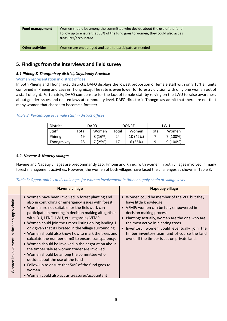| <b>Fund management</b>  | Women should be among the committee who decide about the use of the fund<br>Follow up to ensure that 50% of the fund goes to women, they could also act as<br>treasurer/accountant |  |
|-------------------------|------------------------------------------------------------------------------------------------------------------------------------------------------------------------------------|--|
| <b>Other activities</b> | Women are encouraged and able to participate as needed                                                                                                                             |  |

# **5. Findings from the interviews and field survey**

#### *5.1 Phieng & Thongmixay district, Xayabouly Province*

#### Women representation in district offices

In both Phieng and Thongmixay districts, DAFO displays the lowest proportion of female staff with only 16% all units combined in Phieng and 25% in Thongmixay. The rate is even lower for forestry division with only one woman out of a staff of eight. Fortunately, DAFO compensate for the lack of female staff by relying on the LWU to raise awareness about gender issues and related laws at community level. DAFO director in Thongmxay admit that there are not that many women that choose to become a forester.

#### *Table 2: Percentage of female staff in district offices*

| <b>District</b> | <b>DAFO</b> |         | <b>DONRE</b> |          | LWU   |          |
|-----------------|-------------|---------|--------------|----------|-------|----------|
| Staff           | Total       | Women   | Total        | Women    | Total | Women    |
| Phieng          | 49          | 8(16%)  | 24           | 10 (42%) |       | 7 (100%) |
| Thongmixay      | 28          | 7 (25%) | 17           | 6(35%)   | q     | 9(100%)  |

#### *5.2. Navene & Napeuy villages*

Navene and Napeuy villages are predominantly Lao, Hmong and Khmu, with women in both villages involved in many forest management activities. However, the women of both villages have faced the challenges as shown in Table 3.

#### *Table 3: Opportunities and challenges for women involvement in timber supply chain at village level*

|                                                | <b>Navene village</b>                                                                                                                                                                                                                                                                                                                                                                                                                                                                                                                                                                                                                                                                                                                                                                                       | <b>Napeuay village</b>                                                                                                                                                                                                                                                                                                                                                            |
|------------------------------------------------|-------------------------------------------------------------------------------------------------------------------------------------------------------------------------------------------------------------------------------------------------------------------------------------------------------------------------------------------------------------------------------------------------------------------------------------------------------------------------------------------------------------------------------------------------------------------------------------------------------------------------------------------------------------------------------------------------------------------------------------------------------------------------------------------------------------|-----------------------------------------------------------------------------------------------------------------------------------------------------------------------------------------------------------------------------------------------------------------------------------------------------------------------------------------------------------------------------------|
| supply chain<br>in timber<br>Women involvement | • Women have been involved in forest planting and<br>also in controlling or emergency issues with forest.<br>• Women are not suitable for the fieldwork can<br>participate in meeting in decision making altogether<br>with LYU, LFNC, LWU, etc. regarding VFMP.<br>• Women could join the timber listing on log landing 1<br>or 2 given that its located in the village surrounding.<br>• Women should also know how to mark the trees and<br>calculate the number of m3 to ensure transparency.<br>• Women should be involved in the negotiation about<br>the timber sale as women trader are involved.<br>• Women should be among the committee who<br>decide about the use of the fund<br>• Follow up to ensure that 50% of the fund goes to<br>women<br>• Women could also act as treasurer/accountant | • Women could be member of the VFC but they<br>have little knowledge<br>• VFMP: women can be fully empowered in<br>decision making process<br>• Planting: actually, women are the one who are<br>the most active in planting trees<br>• Inventory: women could eventually join the<br>timber inventory team and of course the land<br>owner if the timber is cut on private land. |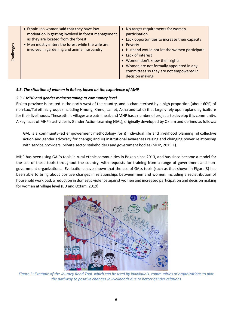| llenges<br>Lerd | • Ethnic Lao women said that they have low<br>motivation in getting involved in forest management<br>as they are located from the forest.<br>. Men mostly enters the forest while the wife are<br>involved in gardening and animal husbandry. | • No target requirements for women<br>participation<br>• Lack opportunities to increase their capacity<br>• Poverty<br>• Husband would not let the women participate<br>• Lack of interest<br>• Women don't know their rights<br>• Women are not formally appointed in any<br>committees so they are not empowered in<br>decision making |
|-----------------|-----------------------------------------------------------------------------------------------------------------------------------------------------------------------------------------------------------------------------------------------|------------------------------------------------------------------------------------------------------------------------------------------------------------------------------------------------------------------------------------------------------------------------------------------------------------------------------------------|
|-----------------|-----------------------------------------------------------------------------------------------------------------------------------------------------------------------------------------------------------------------------------------------|------------------------------------------------------------------------------------------------------------------------------------------------------------------------------------------------------------------------------------------------------------------------------------------------------------------------------------------|

#### *5.3. The situation of women in Bokeo, based on the experience of MHP*

#### *5.3.1 MHP and gender mainstreaming at community level*

Bokeo province is located in the north-west of the country, and is characterised by a high proportion (about 60%) of non-Lao/Tai ethnic groups (including Hmong, Khmu, Lamet, Akha and Lahu) that largely rely upon upland agriculture for their livelihoods. These ethnic villages are patrilineal, and MHP has a number of projects to develop this community. A key facet of MHP's activities is Gender Action Learning (GAL), originally developed by Oxfam and defined as follows:

GAL is a community-led empowerment methodology for i) individual life and livelihood planning; ii) collective action and gender advocacy for change; and iii) institutional awareness raising and changing power relationship with service providers, private sector stakeholders and government bodies (MHP, 2015:1).

MHP has been using GAL's tools in rural ethnic communities in Bokeo since 2013, and has since become a model for the use of these tools throughout the country, with requests for training from a range of government and nongovernment organizations. Evaluations have shown that the use of GALs tools (such as that shown in Figure 3) has been able to bring about positive changes in relationships between men and women, including a redistribution of household workload, a reduction in domestic violence against women and increased participation and decision making for women at village level (EU and Oxfam, 2019).



*Figure 3: Example of the Journey Road Tool, which can be used by individuals, communities or organizations to plot the pathway to positive changes in livelihoods due to better gender relations*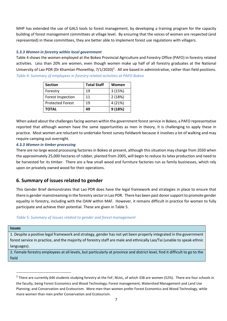MHP has extended the use of GALS tools to forest management, by developing a training program for the capacity building of forest management committees at village level. By ensuring that the voices of women are respected (and represented) in these committees, they are better able to implement forest use regulations with villagers.

#### *5.3.3 Women in forestry within local government*

Table 4 shows the women employed at the Bokeo Provincial Agriculture and Forestry Office (PAFO) in forestry related activities. Less than 20% are women, even though women make up half of all forestry graduates at the National University of Lao PDR (Dr Khamtan Phonethip, 7/1/2020)<sup>1</sup>. All are based in administrative, rather than field positions. *Table 4: Summary of employees in forestry related activities at PAFO Bokeo*

| <b>Section</b>           | <b>Total Staff</b> | Women   |
|--------------------------|--------------------|---------|
| Forestry                 | 19                 | 3(15%)  |
| <b>Forest Inspection</b> | 11                 | 2(18%)  |
| <b>Protected Forest</b>  | 19                 | 4 (21%) |
| <b>TOTAL</b>             | 49                 | 9(18%)  |

When asked about the challenges facing women within the government forest service in Bokeo, a PAFO representative reported that although women have the same opportunities as men in theory, it is challenging to apply these in practice. Most women are reluctant to undertake forest survey fieldwork because it involves a lot of walking and may require camping out overnight.

#### *4.3.3 Women in timber processing*

There are no large wood processing factories in Bokeo at present, although this situation may change from 2030 when the approximately 25,000 hectares of rubber, planted from 2005, will begin to reduce its latex production and need to be harvested for its timber. There are a few small wood and furniture factories run as family businesses, which rely upon on privately owned wood for their operations.

# **6. Summary of issues related to gender**

This Gender Brief demonstrates that Lao PDR does have the legal framework and strategies in place to ensure that there is gender mainstreaming in the forestry sector in Lao PDR. There has been past donor support to promote gender equality in forestry, including with the OAW within MAF. However, it remains difficult in practice for women to fully participate and achieve their potential. These are given in Table 5.

#### *Table 5: Summary of iissues related to gender and forest management*

#### **Issues**

1. Despite a positive legal framework and strategy, gender has not yet been properly integrated in the government forest service in practice, and the majority of forestry staff are male and ethnically Lao/Tai (unable to speak ethnic languages).

2. Female forestry employees at all levels, but particularly at province and district level, find it difficult to go to the field

<sup>&</sup>lt;sup>1</sup> There are currently 646 students studying forestry at the FoF, NUoL, of which 338 are women (52%). There are four schools in the faculty, being Forest Economics and Wood Technology; Forest management; Watershed Management and Land Use Planning; and Conservation and Ecotourism. More men than women prefer Forest Economics and Wood Technology, while more women than men prefer Conservation and Ecotourism.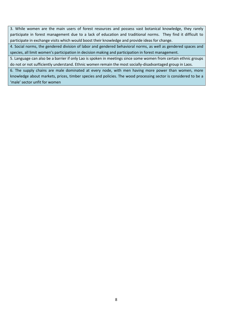3. While women are the main users of forest resources and possess vast botanical knowledge, they rarely participate in forest management due to a lack of education and traditional norms. They find it difficult to participate in exchange visits which would boost their knowledge and provide ideas for change.

4. Social norms, the gendered division of labor and gendered behavioral norms, as well as gendered spaces and species, all limit women's participation in decision making and participation in forest management.

5. Language can also be a barrier if only Lao is spoken in meetings since some women from certain ethnic groups do not or not sufficiently understand. Ethnic women remain the most socially-disadvantaged group in Laos.

6. The supply chains are male dominated at every node, with men having more power than women, more knowledge about markets, prices, timber species and policies. The wood processing sector is considered to be a 'male' sector unfit for women